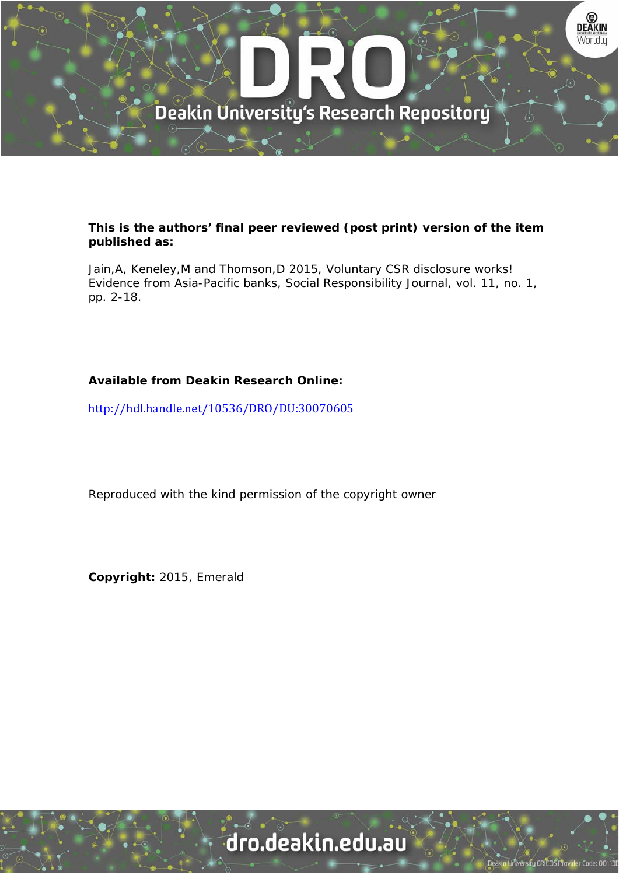

#### **This is the authors' final peer reviewed (post print) version of the item published as:**

Jain,A, Keneley,M and Thomson,D 2015, Voluntary CSR disclosure works! Evidence from Asia-Pacific banks, Social Responsibility Journal, vol. 11, no. 1, pp. 2-18.

#### **Available from Deakin Research Online:**

http://hdl.handle.net/10536/DRO/DU:30070605

Reproduced with the kind permission of the copyright owner

**Copyright:** 2015, Emerald

## dro.deakin.edu.au

**Jniversity CRICOS Prov**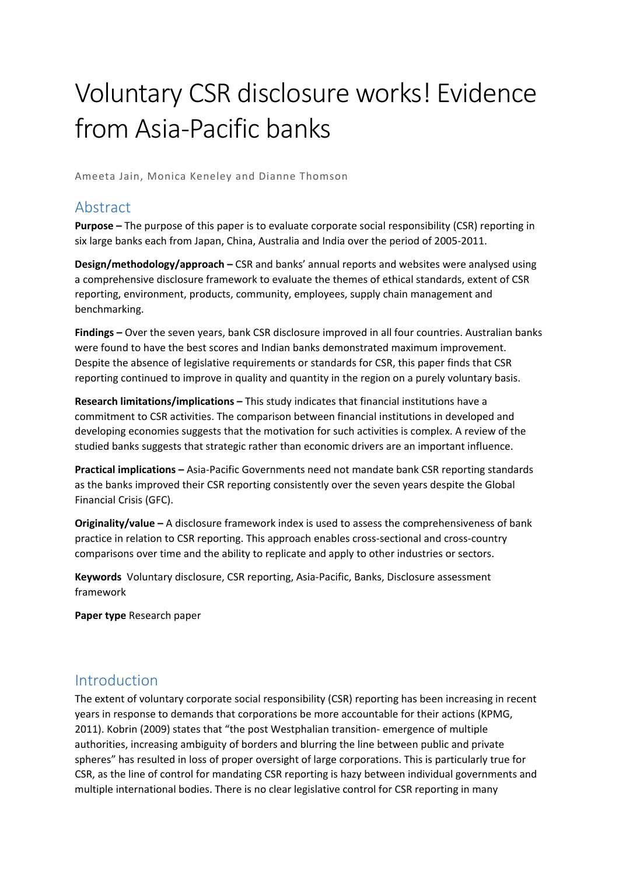# Voluntary CSR disclosure works! Evidence from Asia‐Pacific banks

Ameeta Jain, Monica Keneley and Dianne Thomson

## Abstract

**Purpose –** The purpose of this paper is to evaluate corporate social responsibility (CSR) reporting in six large banks each from Japan, China, Australia and India over the period of 2005‐2011.

**Design/methodology/approach –** CSR and banks' annual reports and websites were analysed using a comprehensive disclosure framework to evaluate the themes of ethical standards, extent of CSR reporting, environment, products, community, employees, supply chain management and benchmarking.

**Findings –** Over the seven years, bank CSR disclosure improved in all four countries. Australian banks were found to have the best scores and Indian banks demonstrated maximum improvement. Despite the absence of legislative requirements or standards for CSR, this paper finds that CSR reporting continued to improve in quality and quantity in the region on a purely voluntary basis.

**Research limitations/implications –** This study indicates that financial institutions have a commitment to CSR activities. The comparison between financial institutions in developed and developing economies suggests that the motivation for such activities is complex. A review of the studied banks suggests that strategic rather than economic drivers are an important influence.

**Practical implications –** Asia‐Pacific Governments need not mandate bank CSR reporting standards as the banks improved their CSR reporting consistently over the seven years despite the Global Financial Crisis (GFC).

**Originality/value –** A disclosure framework index is used to assess the comprehensiveness of bank practice in relation to CSR reporting. This approach enables cross‐sectional and cross‐country comparisons over time and the ability to replicate and apply to other industries or sectors.

**Keywords** Voluntary disclosure, CSR reporting, Asia‐Pacific, Banks, Disclosure assessment framework

**Paper type** Research paper

## Introduction

The extent of voluntary corporate social responsibility (CSR) reporting has been increasing in recent years in response to demands that corporations be more accountable for their actions (KPMG, 2011). Kobrin (2009) states that "the post Westphalian transition‐ emergence of multiple authorities, increasing ambiguity of borders and blurring the line between public and private spheres" has resulted in loss of proper oversight of large corporations. This is particularly true for CSR, as the line of control for mandating CSR reporting is hazy between individual governments and multiple international bodies. There is no clear legislative control for CSR reporting in many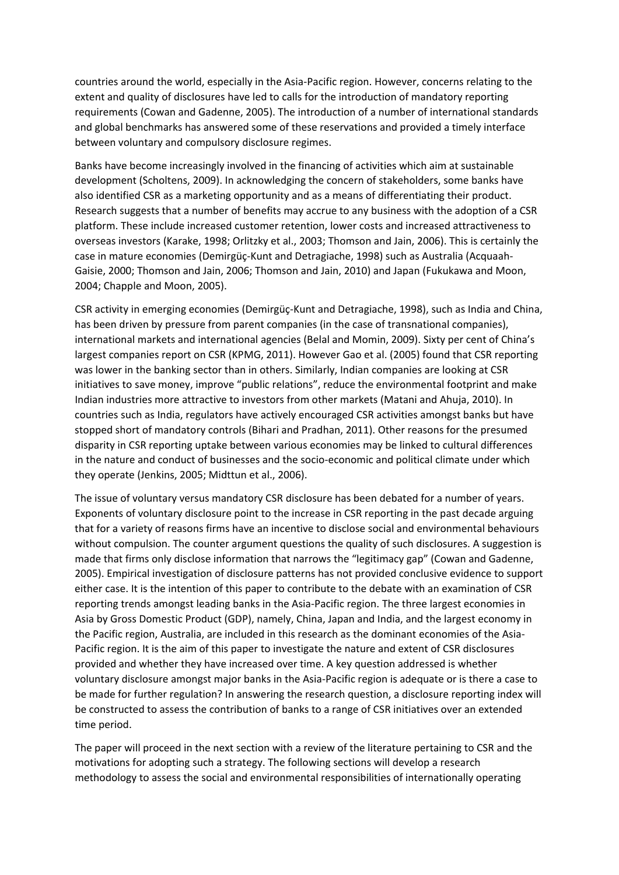countries around the world, especially in the Asia‐Pacific region. However, concerns relating to the extent and quality of disclosures have led to calls for the introduction of mandatory reporting requirements (Cowan and Gadenne, 2005). The introduction of a number of international standards and global benchmarks has answered some of these reservations and provided a timely interface between voluntary and compulsory disclosure regimes.

Banks have become increasingly involved in the financing of activities which aim at sustainable development (Scholtens, 2009). In acknowledging the concern of stakeholders, some banks have also identified CSR as a marketing opportunity and as a means of differentiating their product. Research suggests that a number of benefits may accrue to any business with the adoption of a CSR platform. These include increased customer retention, lower costs and increased attractiveness to overseas investors (Karake, 1998; Orlitzky et al., 2003; Thomson and Jain, 2006). This is certainly the case in mature economies (Demirgüç‐Kunt and Detragiache, 1998) such as Australia (Acquaah‐ Gaisie, 2000; Thomson and Jain, 2006; Thomson and Jain, 2010) and Japan (Fukukawa and Moon, 2004; Chapple and Moon, 2005).

CSR activity in emerging economies (Demirgüç‐Kunt and Detragiache, 1998), such as India and China, has been driven by pressure from parent companies (in the case of transnational companies), international markets and international agencies (Belal and Momin, 2009). Sixty per cent of China's largest companies report on CSR (KPMG, 2011). However Gao et al. (2005) found that CSR reporting was lower in the banking sector than in others. Similarly, Indian companies are looking at CSR initiatives to save money, improve "public relations", reduce the environmental footprint and make Indian industries more attractive to investors from other markets (Matani and Ahuja, 2010). In countries such as India, regulators have actively encouraged CSR activities amongst banks but have stopped short of mandatory controls (Bihari and Pradhan, 2011). Other reasons for the presumed disparity in CSR reporting uptake between various economies may be linked to cultural differences in the nature and conduct of businesses and the socio‐economic and political climate under which they operate (Jenkins, 2005; Midttun et al., 2006).

The issue of voluntary versus mandatory CSR disclosure has been debated for a number of years. Exponents of voluntary disclosure point to the increase in CSR reporting in the past decade arguing that for a variety of reasons firms have an incentive to disclose social and environmental behaviours without compulsion. The counter argument questions the quality of such disclosures. A suggestion is made that firms only disclose information that narrows the "legitimacy gap" (Cowan and Gadenne, 2005). Empirical investigation of disclosure patterns has not provided conclusive evidence to support either case. It is the intention of this paper to contribute to the debate with an examination of CSR reporting trends amongst leading banks in the Asia‐Pacific region. The three largest economies in Asia by Gross Domestic Product (GDP), namely, China, Japan and India, and the largest economy in the Pacific region, Australia, are included in this research as the dominant economies of the Asia-Pacific region. It is the aim of this paper to investigate the nature and extent of CSR disclosures provided and whether they have increased over time. A key question addressed is whether voluntary disclosure amongst major banks in the Asia‐Pacific region is adequate or is there a case to be made for further regulation? In answering the research question, a disclosure reporting index will be constructed to assess the contribution of banks to a range of CSR initiatives over an extended time period.

The paper will proceed in the next section with a review of the literature pertaining to CSR and the motivations for adopting such a strategy. The following sections will develop a research methodology to assess the social and environmental responsibilities of internationally operating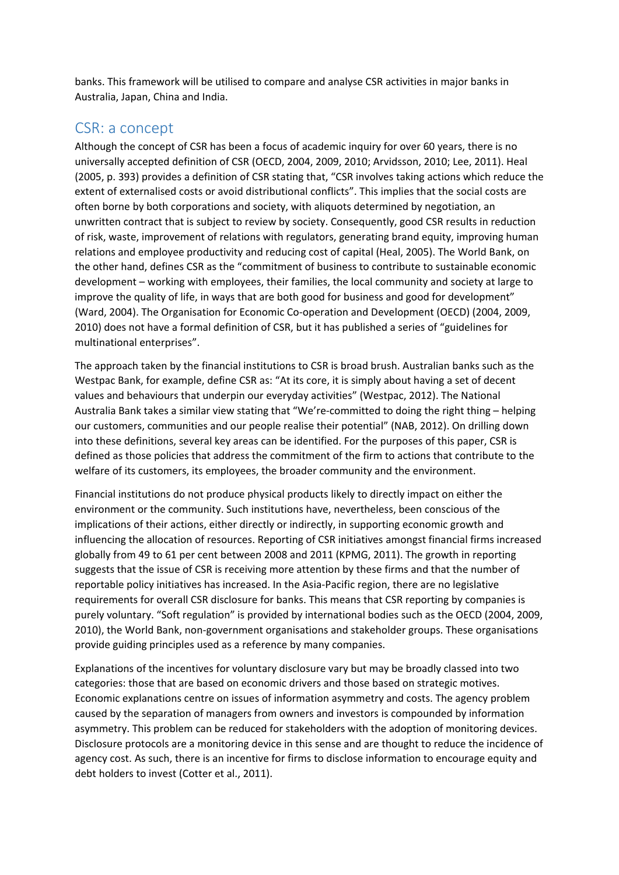banks. This framework will be utilised to compare and analyse CSR activities in major banks in Australia, Japan, China and India.

#### CSR: a concept

Although the concept of CSR has been a focus of academic inquiry for over 60 years, there is no universally accepted definition of CSR (OECD, 2004, 2009, 2010; Arvidsson, 2010; Lee, 2011). Heal (2005, p. 393) provides a definition of CSR stating that, "CSR involves taking actions which reduce the extent of externalised costs or avoid distributional conflicts". This implies that the social costs are often borne by both corporations and society, with aliquots determined by negotiation, an unwritten contract that is subject to review by society. Consequently, good CSR results in reduction of risk, waste, improvement of relations with regulators, generating brand equity, improving human relations and employee productivity and reducing cost of capital (Heal, 2005). The World Bank, on the other hand, defines CSR as the "commitment of business to contribute to sustainable economic development – working with employees, their families, the local community and society at large to improve the quality of life, in ways that are both good for business and good for development" (Ward, 2004). The Organisation for Economic Co‐operation and Development (OECD) (2004, 2009, 2010) does not have a formal definition of CSR, but it has published a series of "guidelines for multinational enterprises".

The approach taken by the financial institutions to CSR is broad brush. Australian banks such as the Westpac Bank, for example, define CSR as: "At its core, it is simply about having a set of decent values and behaviours that underpin our everyday activities" (Westpac, 2012). The National Australia Bank takes a similar view stating that "We're‐committed to doing the right thing – helping our customers, communities and our people realise their potential" (NAB, 2012). On drilling down into these definitions, several key areas can be identified. For the purposes of this paper, CSR is defined as those policies that address the commitment of the firm to actions that contribute to the welfare of its customers, its employees, the broader community and the environment.

Financial institutions do not produce physical products likely to directly impact on either the environment or the community. Such institutions have, nevertheless, been conscious of the implications of their actions, either directly or indirectly, in supporting economic growth and influencing the allocation of resources. Reporting of CSR initiatives amongst financial firms increased globally from 49 to 61 per cent between 2008 and 2011 (KPMG, 2011). The growth in reporting suggests that the issue of CSR is receiving more attention by these firms and that the number of reportable policy initiatives has increased. In the Asia‐Pacific region, there are no legislative requirements for overall CSR disclosure for banks. This means that CSR reporting by companies is purely voluntary. "Soft regulation" is provided by international bodies such as the OECD (2004, 2009, 2010), the World Bank, non‐government organisations and stakeholder groups. These organisations provide guiding principles used as a reference by many companies.

Explanations of the incentives for voluntary disclosure vary but may be broadly classed into two categories: those that are based on economic drivers and those based on strategic motives. Economic explanations centre on issues of information asymmetry and costs. The agency problem caused by the separation of managers from owners and investors is compounded by information asymmetry. This problem can be reduced for stakeholders with the adoption of monitoring devices. Disclosure protocols are a monitoring device in this sense and are thought to reduce the incidence of agency cost. As such, there is an incentive for firms to disclose information to encourage equity and debt holders to invest (Cotter et al., 2011).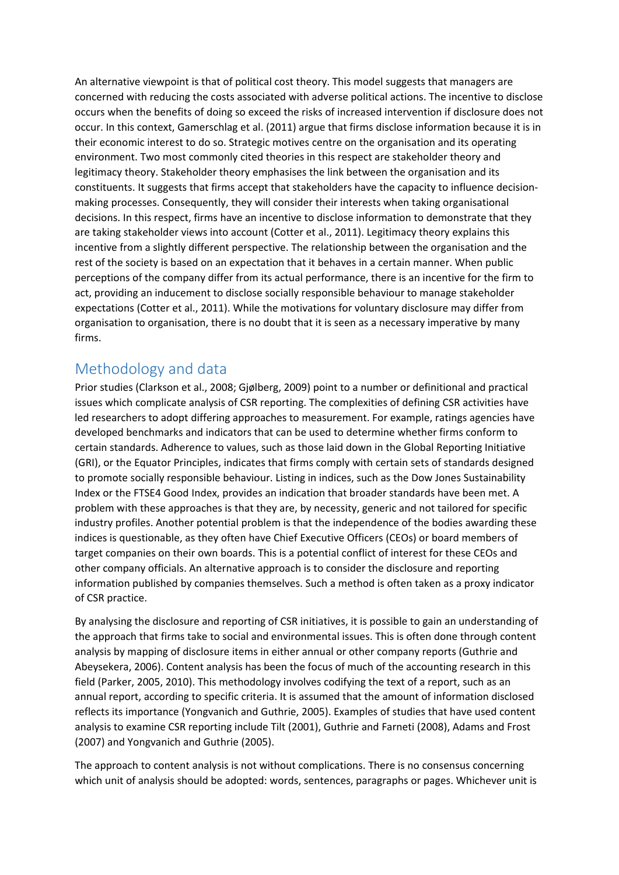An alternative viewpoint is that of political cost theory. This model suggests that managers are concerned with reducing the costs associated with adverse political actions. The incentive to disclose occurs when the benefits of doing so exceed the risks of increased intervention if disclosure does not occur. In this context, Gamerschlag et al. (2011) argue that firms disclose information because it is in their economic interest to do so. Strategic motives centre on the organisation and its operating environment. Two most commonly cited theories in this respect are stakeholder theory and legitimacy theory. Stakeholder theory emphasises the link between the organisation and its constituents. It suggests that firms accept that stakeholders have the capacity to influence decision‐ making processes. Consequently, they will consider their interests when taking organisational decisions. In this respect, firms have an incentive to disclose information to demonstrate that they are taking stakeholder views into account (Cotter et al., 2011). Legitimacy theory explains this incentive from a slightly different perspective. The relationship between the organisation and the rest of the society is based on an expectation that it behaves in a certain manner. When public perceptions of the company differ from its actual performance, there is an incentive for the firm to act, providing an inducement to disclose socially responsible behaviour to manage stakeholder expectations (Cotter et al., 2011). While the motivations for voluntary disclosure may differ from organisation to organisation, there is no doubt that it is seen as a necessary imperative by many firms.

## Methodology and data

Prior studies (Clarkson et al., 2008; Gjølberg, 2009) point to a number or definitional and practical issues which complicate analysis of CSR reporting. The complexities of defining CSR activities have led researchers to adopt differing approaches to measurement. For example, ratings agencies have developed benchmarks and indicators that can be used to determine whether firms conform to certain standards. Adherence to values, such as those laid down in the Global Reporting Initiative (GRI), or the Equator Principles, indicates that firms comply with certain sets of standards designed to promote socially responsible behaviour. Listing in indices, such as the Dow Jones Sustainability Index or the FTSE4 Good Index, provides an indication that broader standards have been met. A problem with these approaches is that they are, by necessity, generic and not tailored for specific industry profiles. Another potential problem is that the independence of the bodies awarding these indices is questionable, as they often have Chief Executive Officers (CEOs) or board members of target companies on their own boards. This is a potential conflict of interest for these CEOs and other company officials. An alternative approach is to consider the disclosure and reporting information published by companies themselves. Such a method is often taken as a proxy indicator of CSR practice.

By analysing the disclosure and reporting of CSR initiatives, it is possible to gain an understanding of the approach that firms take to social and environmental issues. This is often done through content analysis by mapping of disclosure items in either annual or other company reports (Guthrie and Abeysekera, 2006). Content analysis has been the focus of much of the accounting research in this field (Parker, 2005, 2010). This methodology involves codifying the text of a report, such as an annual report, according to specific criteria. It is assumed that the amount of information disclosed reflects its importance (Yongvanich and Guthrie, 2005). Examples of studies that have used content analysis to examine CSR reporting include Tilt (2001), Guthrie and Farneti (2008), Adams and Frost (2007) and Yongvanich and Guthrie (2005).

The approach to content analysis is not without complications. There is no consensus concerning which unit of analysis should be adopted: words, sentences, paragraphs or pages. Whichever unit is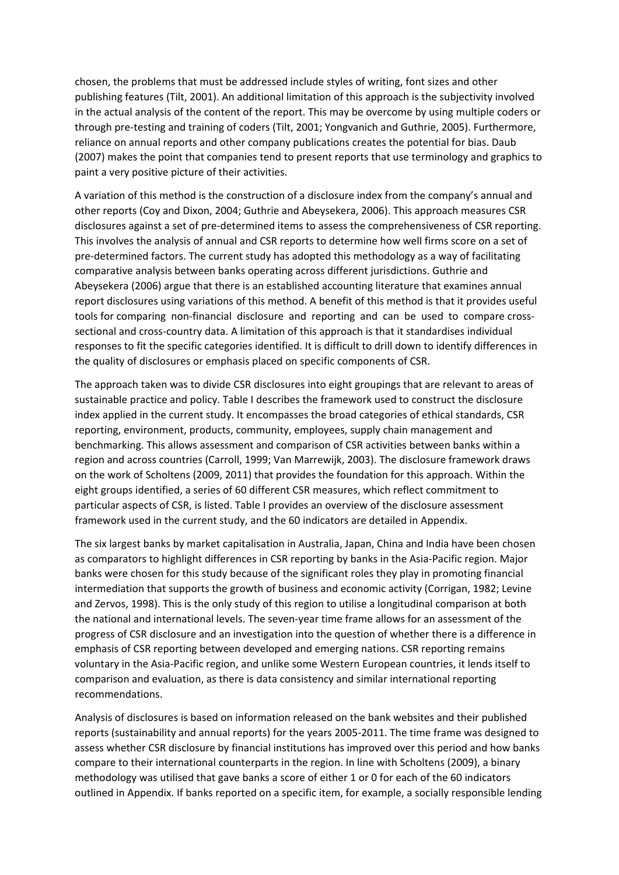chosen, the problems that must be addressed include styles of writing, font sizes and other publishing features (Tilt, 2001). An additional limitation of this approach is the subjectivity involved in the actual analysis of the content of the report. This may be overcome by using multiple coders or through pre‐testing and training of coders (Tilt, 2001; Yongvanich and Guthrie, 2005). Furthermore, reliance on annual reports and other company publications creates the potential for bias. Daub (2007) makes the point that companies tend to present reports that use terminology and graphics to paint a very positive picture of their activities.

A variation of this method is the construction of a disclosure index from the company's annual and other reports (Coy and Dixon, 2004; Guthrie and Abeysekera, 2006). This approach measures CSR disclosures against a set of pre‐determined items to assess the comprehensiveness of CSR reporting. This involves the analysis of annual and CSR reports to determine how well firms score on a set of pre-determined factors. The current study has adopted this methodology as a way of facilitating comparative analysis between banks operating across different jurisdictions. Guthrie and Abeysekera (2006) argue that there is an established accounting literature that examines annual report disclosures using variations of this method. A benefit of this method is that it provides useful tools for comparing non-financial disclosure and reporting and can be used to compare crosssectional and cross‐country data. A limitation of this approach is that it standardises individual responses to fit the specific categories identified. It is difficult to drill down to identify differences in the quality of disclosures or emphasis placed on specific components of CSR.

The approach taken was to divide CSR disclosures into eight groupings that are relevant to areas of sustainable practice and policy. Table I describes the framework used to construct the disclosure index applied in the current study. It encompasses the broad categories of ethical standards, CSR reporting, environment, products, community, employees, supply chain management and benchmarking. This allows assessment and comparison of CSR activities between banks within a region and across countries (Carroll, 1999; Van Marrewijk, 2003). The disclosure framework draws on the work of Scholtens (2009, 2011) that provides the foundation for this approach. Within the eight groups identified, a series of 60 different CSR measures, which reflect commitment to particular aspects of CSR, is listed. Table I provides an overview of the disclosure assessment framework used in the current study, and the 60 indicators are detailed in Appendix.

The six largest banks by market capitalisation in Australia, Japan, China and India have been chosen as comparators to highlight differences in CSR reporting by banks in the Asia‐Pacific region. Major banks were chosen for this study because of the significant roles they play in promoting financial intermediation that supports the growth of business and economic activity (Corrigan, 1982; Levine and Zervos, 1998). This is the only study of this region to utilise a longitudinal comparison at both the national and international levels. The seven‐year time frame allows for an assessment of the progress of CSR disclosure and an investigation into the question of whether there is a difference in emphasis of CSR reporting between developed and emerging nations. CSR reporting remains voluntary in the Asia‐Pacific region, and unlike some Western European countries, it lends itself to comparison and evaluation, as there is data consistency and similar international reporting recommendations.

Analysis of disclosures is based on information released on the bank websites and their published reports (sustainability and annual reports) for the years 2005‐2011. The time frame was designed to assess whether CSR disclosure by financial institutions has improved over this period and how banks compare to their international counterparts in the region. In line with Scholtens (2009), a binary methodology was utilised that gave banks a score of either 1 or 0 for each of the 60 indicators outlined in Appendix. If banks reported on a specific item, for example, a socially responsible lending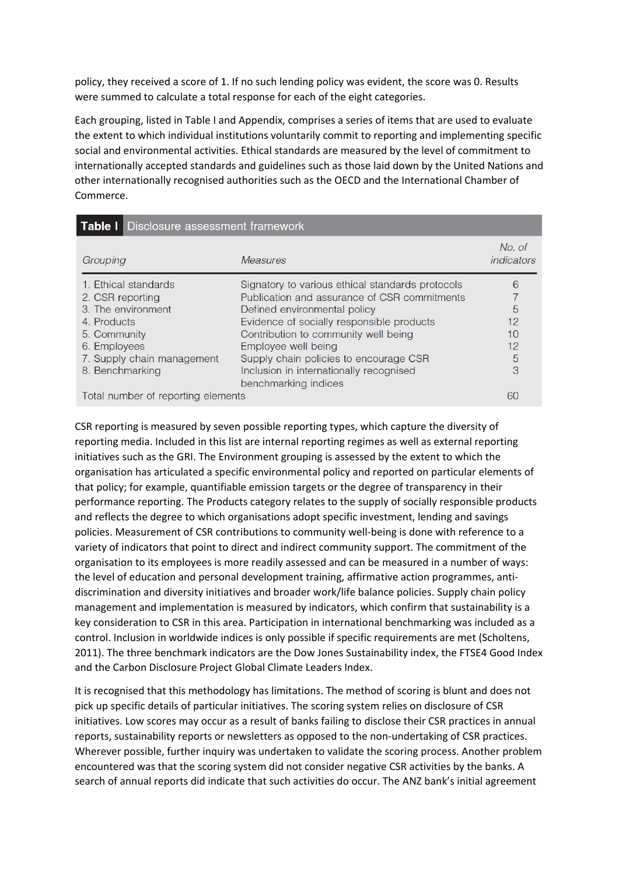policy, they received a score of 1. If no such lending policy was evident, the score was 0. Results were summed to calculate a total response for each of the eight categories.

Each grouping, listed in Table I and Appendix, comprises a series of items that are used to evaluate the extent to which individual institutions voluntarily commit to reporting and implementing specific social and environmental activities. Ethical standards are measured by the level of commitment to internationally accepted standards and guidelines such as those laid down by the United Nations and other internationally recognised authorities such as the OECD and the International Chamber of Commerce.

| <b>Table I</b> Disclosure assessment framework |                                                  |                       |  |  |  |
|------------------------------------------------|--------------------------------------------------|-----------------------|--|--|--|
| Grouping                                       | <b>Measures</b>                                  | $No$ of<br>indicators |  |  |  |
| 1. Ethical standards                           | Signatory to various ethical standards protocols | 6                     |  |  |  |
| 2. CSR reporting                               | Publication and assurance of CSR commitments     |                       |  |  |  |
| 3. The environment                             | Defined environmental policy                     | 5                     |  |  |  |
| 4. Products                                    | Evidence of socially responsible products        | 12                    |  |  |  |
| 5. Community                                   | Contribution to community well being             | 10                    |  |  |  |
| 6. Employees                                   | Employee well being                              | 12                    |  |  |  |
| 7. Supply chain management                     | Supply chain policies to encourage CSR           | 5                     |  |  |  |
| 8. Benchmarking                                | Inclusion in internationally recognised          | 3                     |  |  |  |
|                                                | benchmarking indices                             |                       |  |  |  |
| Total number of reporting elements             |                                                  | 60                    |  |  |  |

CSR reporting is measured by seven possible reporting types, which capture the diversity of reporting media. Included in this list are internal reporting regimes as well as external reporting initiatives such as the GRI. The Environment grouping is assessed by the extent to which the organisation has articulated a specific environmental policy and reported on particular elements of that policy; for example, quantifiable emission targets or the degree of transparency in their performance reporting. The Products category relates to the supply of socially responsible products and reflects the degree to which organisations adopt specific investment, lending and savings policies. Measurement of CSR contributions to community well‐being is done with reference to a variety of indicators that point to direct and indirect community support. The commitment of the organisation to its employees is more readily assessed and can be measured in a number of ways: the level of education and personal development training, affirmative action programmes, antidiscrimination and diversity initiatives and broader work/life balance policies. Supply chain policy management and implementation is measured by indicators, which confirm that sustainability is a key consideration to CSR in this area. Participation in international benchmarking was included as a control. Inclusion in worldwide indices is only possible if specific requirements are met (Scholtens, 2011). The three benchmark indicators are the Dow Jones Sustainability index, the FTSE4 Good Index and the Carbon Disclosure Project Global Climate Leaders Index.

It is recognised that this methodology has limitations. The method of scoring is blunt and does not pick up specific details of particular initiatives. The scoring system relies on disclosure of CSR initiatives. Low scores may occur as a result of banks failing to disclose their CSR practices in annual reports, sustainability reports or newsletters as opposed to the non-undertaking of CSR practices. Wherever possible, further inquiry was undertaken to validate the scoring process. Another problem encountered was that the scoring system did not consider negative CSR activities by the banks. A search of annual reports did indicate that such activities do occur. The ANZ bank's initial agreement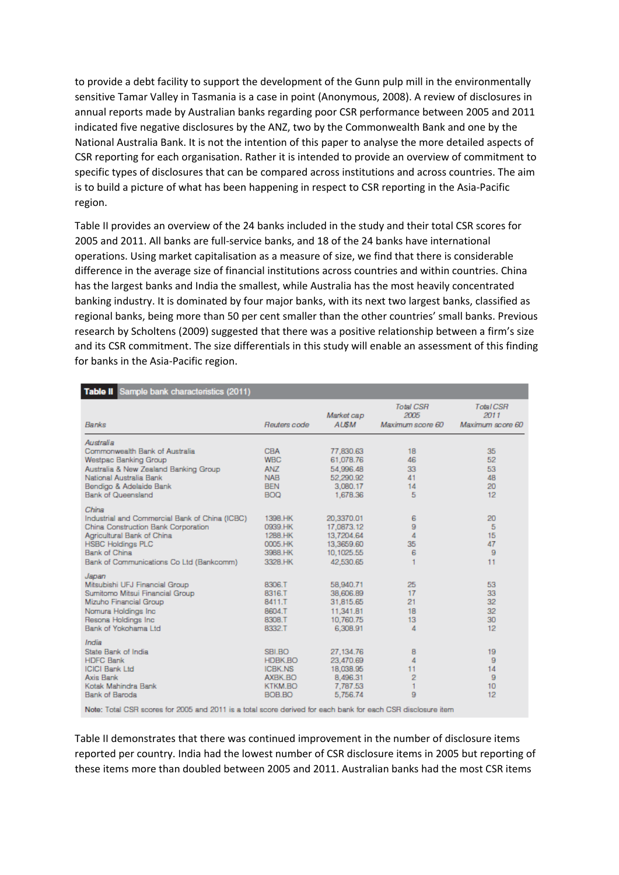to provide a debt facility to support the development of the Gunn pulp mill in the environmentally sensitive Tamar Valley in Tasmania is a case in point (Anonymous, 2008). A review of disclosures in annual reports made by Australian banks regarding poor CSR performance between 2005 and 2011 indicated five negative disclosures by the ANZ, two by the Commonwealth Bank and one by the National Australia Bank. It is not the intention of this paper to analyse the more detailed aspects of CSR reporting for each organisation. Rather it is intended to provide an overview of commitment to specific types of disclosures that can be compared across institutions and across countries. The aim is to build a picture of what has been happening in respect to CSR reporting in the Asia‐Pacific region.

Table II provides an overview of the 24 banks included in the study and their total CSR scores for 2005 and 2011. All banks are full‐service banks, and 18 of the 24 banks have international operations. Using market capitalisation as a measure of size, we find that there is considerable difference in the average size of financial institutions across countries and within countries. China has the largest banks and India the smallest, while Australia has the most heavily concentrated banking industry. It is dominated by four major banks, with its next two largest banks, classified as regional banks, being more than 50 per cent smaller than the other countries' small banks. Previous research by Scholtens (2009) suggested that there was a positive relationship between a firm's size and its CSR commitment. The size differentials in this study will enable an assessment of this finding for banks in the Asia‐Pacific region.

| <b>Table II</b> Sample bank characteristics (2011)                                                                                                                                                                           |                                                                                          |                                                                                 |                                                                            |                                              |
|------------------------------------------------------------------------------------------------------------------------------------------------------------------------------------------------------------------------------|------------------------------------------------------------------------------------------|---------------------------------------------------------------------------------|----------------------------------------------------------------------------|----------------------------------------------|
| Banks                                                                                                                                                                                                                        | Reuters code                                                                             | Market cap<br>AUSM                                                              | <b>Total CSR</b><br>2005<br>Maximum score 60                               | <b>Total CSR</b><br>2011<br>Maximum score 60 |
| Australia<br>Commonwealth Bank of Australia<br>Westpac Banking Group<br>Australia & New Zealand Banking Group<br>National Australia Bank<br>Bendigo & Adelaide Bank<br><b>Bank of Queensland</b>                             | <b>CBA</b><br><b>WBC</b><br>ANZ<br><b>NAB</b><br><b>BEN</b><br><b>BOQ</b>                | 77,830.63<br>61,078.76<br>54.996.48<br>52,290.92<br>3,080.17<br>1,678.36        | 18<br>46<br>33<br>41<br>14<br>5                                            | 35<br>52<br>53<br>48<br>20<br>12             |
| China<br>Industrial and Commercial Bank of China (ICBC)<br>China Construction Bank Corporation<br>Agricultural Bank of China<br><b>HSBC Holdings PLC</b><br><b>Bank of China</b><br>Bank of Communications Co Ltd (Bankcomm) | 1398.HK<br>0939.HK<br>1288.HK<br>0005.HK<br>3988.HK<br>3328.HK                           | 20,3370.01<br>17,0873.12<br>13,7204.64<br>13,3659.60<br>10,1025.55<br>42.530.65 | 6<br>9<br>Δ<br>35<br>6<br>Ħ                                                | 20<br>5<br>15<br>47<br>9<br>11               |
| Japan<br>Mitsubishi UFJ Financial Group<br>Sumitomo Mitsui Financial Group<br>Mizuho Financial Group<br>Nomura Holdings Inc.<br>Resona Holdings Inc.<br>Bank of Yokohama Ltd.                                                | 8306.T<br>8316.T<br>8411.T<br>8604.T<br>8308.T<br>8332.T                                 | 58,940.71<br>38,606.89<br>31,815.65<br>11,341.81<br>10,760.75<br>6,308.91       | 25<br>17<br>21<br>18<br>13<br>4                                            | 53<br>33<br>32<br>32<br>30<br>12             |
| India<br>State Bank of India<br><b>HDFC Bank</b><br><b>ICICI Bank Ltd</b><br>Axis Bank<br>Kotak Mahindra Bank<br><b>Bank of Baroda</b><br><b>All All Products and All Products</b><br><b>CONTRACTOR</b>                      | SBI.BO<br>HDBK.BO<br>ICBK.NS<br>AXBK.BO<br>KTKM.BO<br>BOB.BO<br><b>State State State</b> | 27.134.76<br>23,470.69<br>18,038.95<br>8,496.31<br>7,787.53<br>5.756.74         | 8<br>4<br>11<br>$\overline{2}$<br>9<br>The contract of the property of the | 19<br>9<br>14<br>9<br>10<br>12               |

Note: Total CSR scores for 2005 and 2011 is a total score derived for each bank for each CSR disclosure item

Table II demonstrates that there was continued improvement in the number of disclosure items reported per country. India had the lowest number of CSR disclosure items in 2005 but reporting of these items more than doubled between 2005 and 2011. Australian banks had the most CSR items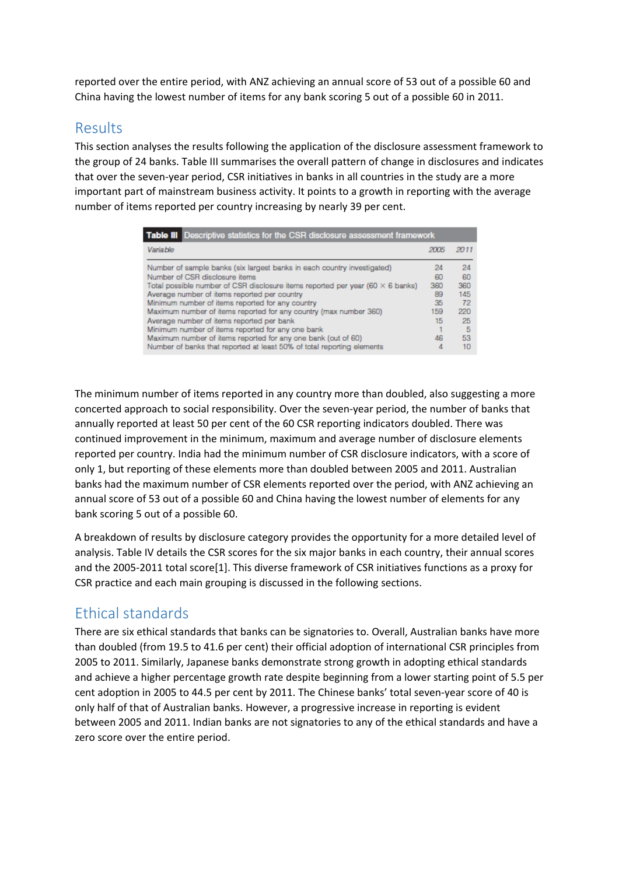reported over the entire period, with ANZ achieving an annual score of 53 out of a possible 60 and China having the lowest number of items for any bank scoring 5 out of a possible 60 in 2011.

#### Results

This section analyses the results following the application of the disclosure assessment framework to the group of 24 banks. Table III summarises the overall pattern of change in disclosures and indicates that over the seven‐year period, CSR initiatives in banks in all countries in the study are a more important part of mainstream business activity. It points to a growth in reporting with the average number of items reported per country increasing by nearly 39 per cent.

| <b>Table III</b> Descriptive statistics for the CSR disclosure assessment framework   |      |      |  |  |  |  |
|---------------------------------------------------------------------------------------|------|------|--|--|--|--|
| Variable                                                                              | 20OP | 2011 |  |  |  |  |
| Number of sample banks (six largest banks in each country investigated)               | 24   | 24   |  |  |  |  |
| Number of CSR disclosure items                                                        | 60   | 60   |  |  |  |  |
| Total possible number of CSR disclosure items reported per year (60 $\times$ 6 banks) | 360  | 360  |  |  |  |  |
| Average number of items reported per country                                          | 89   | 145  |  |  |  |  |
| Minimum number of items reported for any country                                      | 35   | 72   |  |  |  |  |
| Maximum number of items reported for any country (max number 360)                     | 159  | 220  |  |  |  |  |
| Average number of items reported per bank                                             | 15   | 25   |  |  |  |  |
| Minimum number of items reported for any one bank                                     |      | 5    |  |  |  |  |
| Maximum number of items reported for any one bank (out of 60)                         | 46   | 53   |  |  |  |  |
| Number of banks that reported at least 50% of total reporting elements                |      | 10   |  |  |  |  |

The minimum number of items reported in any country more than doubled, also suggesting a more concerted approach to social responsibility. Over the seven‐year period, the number of banks that annually reported at least 50 per cent of the 60 CSR reporting indicators doubled. There was continued improvement in the minimum, maximum and average number of disclosure elements reported per country. India had the minimum number of CSR disclosure indicators, with a score of only 1, but reporting of these elements more than doubled between 2005 and 2011. Australian banks had the maximum number of CSR elements reported over the period, with ANZ achieving an annual score of 53 out of a possible 60 and China having the lowest number of elements for any bank scoring 5 out of a possible 60.

A breakdown of results by disclosure category provides the opportunity for a more detailed level of analysis. Table IV details the CSR scores for the six major banks in each country, their annual scores and the 2005-2011 total score[1]. This diverse framework of CSR initiatives functions as a proxy for CSR practice and each main grouping is discussed in the following sections.

## Ethical standards

There are six ethical standards that banks can be signatories to. Overall, Australian banks have more than doubled (from 19.5 to 41.6 per cent) their official adoption of international CSR principles from 2005 to 2011. Similarly, Japanese banks demonstrate strong growth in adopting ethical standards and achieve a higher percentage growth rate despite beginning from a lower starting point of 5.5 per cent adoption in 2005 to 44.5 per cent by 2011. The Chinese banks' total seven-year score of 40 is only half of that of Australian banks. However, a progressive increase in reporting is evident between 2005 and 2011. Indian banks are not signatories to any of the ethical standards and have a zero score over the entire period.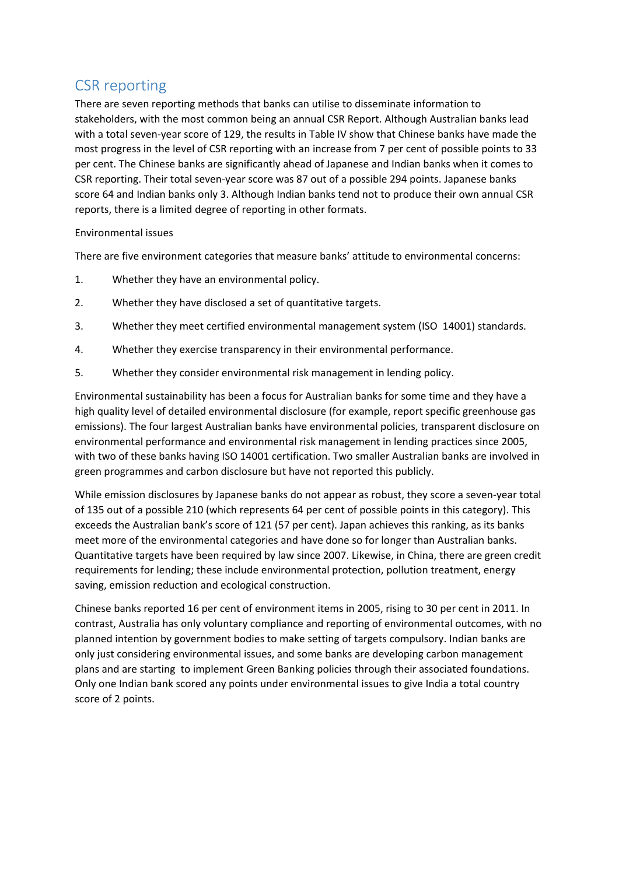## CSR reporting

There are seven reporting methods that banks can utilise to disseminate information to stakeholders, with the most common being an annual CSR Report. Although Australian banks lead with a total seven-year score of 129, the results in Table IV show that Chinese banks have made the most progress in the level of CSR reporting with an increase from 7 per cent of possible points to 33 per cent. The Chinese banks are significantly ahead of Japanese and Indian banks when it comes to CSR reporting. Their total seven‐year score was 87 out of a possible 294 points. Japanese banks score 64 and Indian banks only 3. Although Indian banks tend not to produce their own annual CSR reports, there is a limited degree of reporting in other formats.

#### Environmental issues

There are five environment categories that measure banks' attitude to environmental concerns:

- 1. Whether they have an environmental policy.
- 2. Whether they have disclosed a set of quantitative targets.
- 3. Whether they meet certified environmental management system (ISO 14001) standards.
- 4. Whether they exercise transparency in their environmental performance.
- 5. Whether they consider environmental risk management in lending policy.

Environmental sustainability has been a focus for Australian banks for some time and they have a high quality level of detailed environmental disclosure (for example, report specific greenhouse gas emissions). The four largest Australian banks have environmental policies, transparent disclosure on environmental performance and environmental risk management in lending practices since 2005, with two of these banks having ISO 14001 certification. Two smaller Australian banks are involved in green programmes and carbon disclosure but have not reported this publicly.

While emission disclosures by Japanese banks do not appear as robust, they score a seven‐year total of 135 out of a possible 210 (which represents 64 per cent of possible points in this category). This exceeds the Australian bank's score of 121 (57 per cent). Japan achieves this ranking, as its banks meet more of the environmental categories and have done so for longer than Australian banks. Quantitative targets have been required by law since 2007. Likewise, in China, there are green credit requirements for lending; these include environmental protection, pollution treatment, energy saving, emission reduction and ecological construction.

Chinese banks reported 16 per cent of environment items in 2005, rising to 30 per cent in 2011. In contrast, Australia has only voluntary compliance and reporting of environmental outcomes, with no planned intention by government bodies to make setting of targets compulsory. Indian banks are only just considering environmental issues, and some banks are developing carbon management plans and are starting to implement Green Banking policies through their associated foundations. Only one Indian bank scored any points under environmental issues to give India a total country score of 2 points.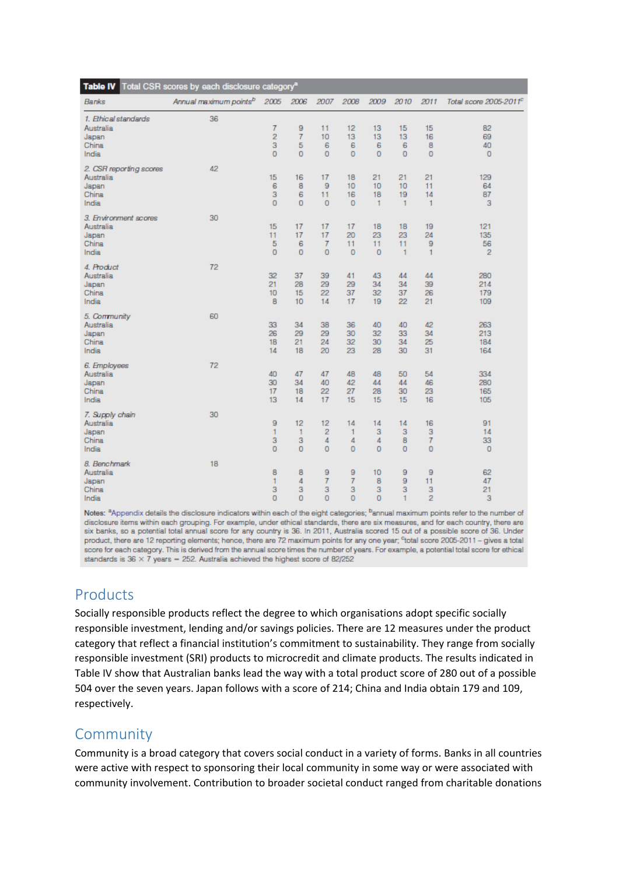| <b>Table IV</b><br>Total CSR scores by each disclosure category <sup>a</sup> |                                    |                                            |                                            |                                       |                                  |                           |                                  |                                |                                    |
|------------------------------------------------------------------------------|------------------------------------|--------------------------------------------|--------------------------------------------|---------------------------------------|----------------------------------|---------------------------|----------------------------------|--------------------------------|------------------------------------|
| Banks                                                                        | Annual maximum points <sup>b</sup> | 2005                                       | 2006                                       | 2007                                  | 2008                             | 2009                      | 2010                             | 2011                           | Total score 2005-2011 <sup>c</sup> |
| 1. Ethical standards<br>Australia<br>Japan<br>China<br>India                 | 36                                 | 7<br>$\overline{2}$<br>3<br>$\overline{0}$ | 9<br>$\overline{7}$<br>5<br>$\overline{0}$ | 11<br>10<br>6<br>0                    | 12<br>13<br>6<br>$\circ$         | 13<br>13<br>6<br>$\bf{0}$ | 15<br>13<br>6<br>$\overline{0}$  | 15<br>16<br>8<br>$\bf{0}$      | 82<br>69<br>40<br>$\circ$          |
| 2. CSR reporting scores<br>Australia<br>Japan<br>China<br>India              | 42                                 | 15<br>6<br>3<br>$\circ$                    | 16<br>8<br>6<br>0                          | 17<br>9<br>11<br>$\circ$              | 18<br>10<br>16<br>$\circ$        | 21<br>10<br>18<br>1       | 21<br>10<br>19<br>1              | 21<br>11<br>14<br>$\mathbf{1}$ | 129<br>64<br>87<br>з               |
| 3. Environment scores<br>Australia<br>Japan<br>China<br>India                | 30                                 | 15<br>11<br>5<br>$\overline{0}$            | 17<br>17<br>6<br>$\overline{0}$            | 17<br>17<br>$\overline{7}$<br>$\circ$ | 17<br>20<br>11<br>$\overline{0}$ | 18<br>23<br>11<br>$\circ$ | 18<br>23<br>11<br>$\overline{1}$ | 19<br>24<br>9<br>1             | 121<br>135<br>56<br>$\overline{2}$ |
| 4. Product<br>Australia<br>Japan<br>China<br>India                           | 72                                 | 32<br>21<br>10<br>8                        | 37<br>28<br>15<br>10                       | 39<br>29<br>22<br>14                  | 41<br>29<br>37<br>17             | 43<br>34<br>32<br>19      | 44<br>34<br>37<br>22             | 44<br>39<br>26<br>21           | 280<br>214<br>179<br>109           |
| 5. Community<br>Australia<br>Japan<br>China<br>India                         | 60                                 | 33<br>26<br>18<br>14                       | 34<br>29<br>21<br>18                       | 38<br>29<br>24<br>20                  | 36<br>30<br>32<br>23             | 40<br>32<br>30<br>28      | 40<br>33<br>34<br>30             | 42<br>34<br>25<br>31           | 263<br>213<br>184<br>164           |
| 6. Employees<br>Australia<br>Japan<br>China<br>India                         | 72                                 | 40<br>30<br>17<br>13                       | 47<br>34<br>18<br>14                       | 47<br>40<br>22<br>17                  | 48<br>42<br>27<br>15             | 48<br>44<br>28<br>15      | 50<br>44<br>30<br>15             | 54<br>46<br>23<br>16           | 334<br>280<br>165<br>105           |
| 7. Supply chain<br>Australia<br>Japan<br>China<br>India                      | 30                                 | 9<br>1<br>3<br>$\overline{0}$              | 12<br>1<br>з<br>$\overline{0}$             | 12<br>2<br>4<br>0                     | 14<br>1<br>4<br>$\overline{0}$   | 14<br>3<br>4<br>0         | 14<br>3<br>8<br>0                | 16<br>3<br>7<br>$\overline{0}$ | 91<br>14<br>33<br>$\bf{0}$         |
| 8. Benchmark<br>Australia<br>Japan<br>China<br>India                         | 18                                 | 8<br>1<br>3<br>0                           | 8<br>4<br>3<br>0                           | 9<br>7<br>3<br>0                      | 9<br>7<br>3<br>$\bf{0}$          | 10<br>8<br>3<br>$\bf{0}$  | 9<br>9<br>3<br>1                 | 9<br>11<br>3<br>2              | 62<br>47<br>21<br>3                |

Notes: <sup>a</sup>Appendix details the disclosure indicators within each of the eight categories; <sup>b</sup>annual maximum points refer to the number of disclosure items within each grouping. For example, under ethical standards, there are six measures, and for each country, there are six banks, so a potential total annual score for any country is 36. In 2011, Australia scored 15 out of a possible score of 36. Under product, there are 12 reporting elements; hence, there are 72 maximum points for any one year; <sup>c</sup>total score 2005-2011 - gives a total score for each category. This is derived from the annual score times the number of years. For example, a potential total score for ethical standards is 36  $\times$  7 years = 252. Australia achieved the highest score of 82/252

## Products

Socially responsible products reflect the degree to which organisations adopt specific socially responsible investment, lending and/or savings policies. There are 12 measures under the product category that reflect a financial institution's commitment to sustainability. They range from socially responsible investment (SRI) products to microcredit and climate products. The results indicated in Table IV show that Australian banks lead the way with a total product score of 280 out of a possible 504 over the seven years. Japan follows with a score of 214; China and India obtain 179 and 109, respectively.

## Community

Community is a broad category that covers social conduct in a variety of forms. Banks in all countries were active with respect to sponsoring their local community in some way or were associated with community involvement. Contribution to broader societal conduct ranged from charitable donations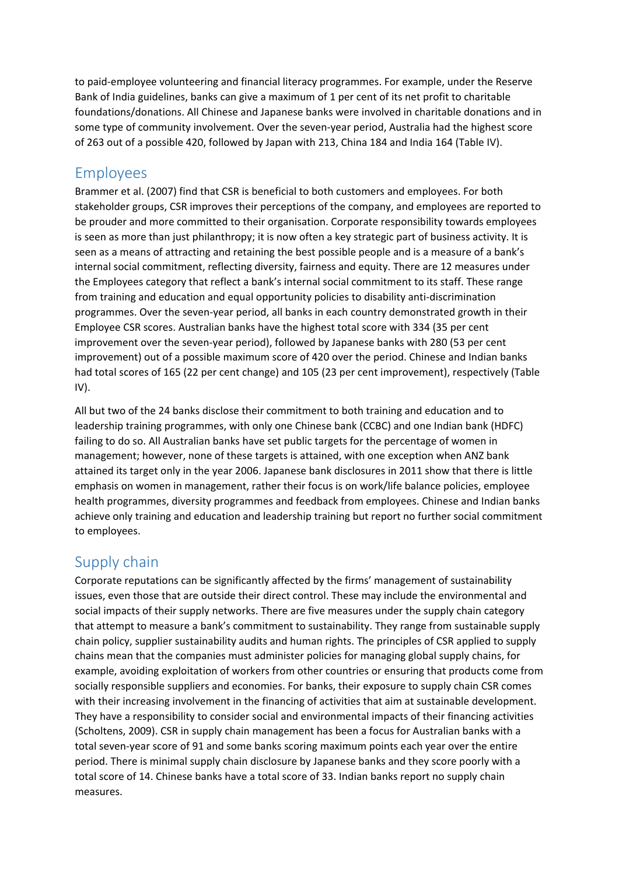to paid‐employee volunteering and financial literacy programmes. For example, under the Reserve Bank of India guidelines, banks can give a maximum of 1 per cent of its net profit to charitable foundations/donations. All Chinese and Japanese banks were involved in charitable donations and in some type of community involvement. Over the seven-year period, Australia had the highest score of 263 out of a possible 420, followed by Japan with 213, China 184 and India 164 (Table IV).

## Employees

Brammer et al. (2007) find that CSR is beneficial to both customers and employees. For both stakeholder groups, CSR improves their perceptions of the company, and employees are reported to be prouder and more committed to their organisation. Corporate responsibility towards employees is seen as more than just philanthropy; it is now often a key strategic part of business activity. It is seen as a means of attracting and retaining the best possible people and is a measure of a bank's internal social commitment, reflecting diversity, fairness and equity. There are 12 measures under the Employees category that reflect a bank's internal social commitment to its staff. These range from training and education and equal opportunity policies to disability anti‐discrimination programmes. Over the seven‐year period, all banks in each country demonstrated growth in their Employee CSR scores. Australian banks have the highest total score with 334 (35 per cent improvement over the seven‐year period), followed by Japanese banks with 280 (53 per cent improvement) out of a possible maximum score of 420 over the period. Chinese and Indian banks had total scores of 165 (22 per cent change) and 105 (23 per cent improvement), respectively (Table IV).

All but two of the 24 banks disclose their commitment to both training and education and to leadership training programmes, with only one Chinese bank (CCBC) and one Indian bank (HDFC) failing to do so. All Australian banks have set public targets for the percentage of women in management; however, none of these targets is attained, with one exception when ANZ bank attained its target only in the year 2006. Japanese bank disclosures in 2011 show that there is little emphasis on women in management, rather their focus is on work/life balance policies, employee health programmes, diversity programmes and feedback from employees. Chinese and Indian banks achieve only training and education and leadership training but report no further social commitment to employees.

## Supply chain

Corporate reputations can be significantly affected by the firms' management of sustainability issues, even those that are outside their direct control. These may include the environmental and social impacts of their supply networks. There are five measures under the supply chain category that attempt to measure a bank's commitment to sustainability. They range from sustainable supply chain policy, supplier sustainability audits and human rights. The principles of CSR applied to supply chains mean that the companies must administer policies for managing global supply chains, for example, avoiding exploitation of workers from other countries or ensuring that products come from socially responsible suppliers and economies. For banks, their exposure to supply chain CSR comes with their increasing involvement in the financing of activities that aim at sustainable development. They have a responsibility to consider social and environmental impacts of their financing activities (Scholtens, 2009). CSR in supply chain management has been a focus for Australian banks with a total seven‐year score of 91 and some banks scoring maximum points each year over the entire period. There is minimal supply chain disclosure by Japanese banks and they score poorly with a total score of 14. Chinese banks have a total score of 33. Indian banks report no supply chain measures.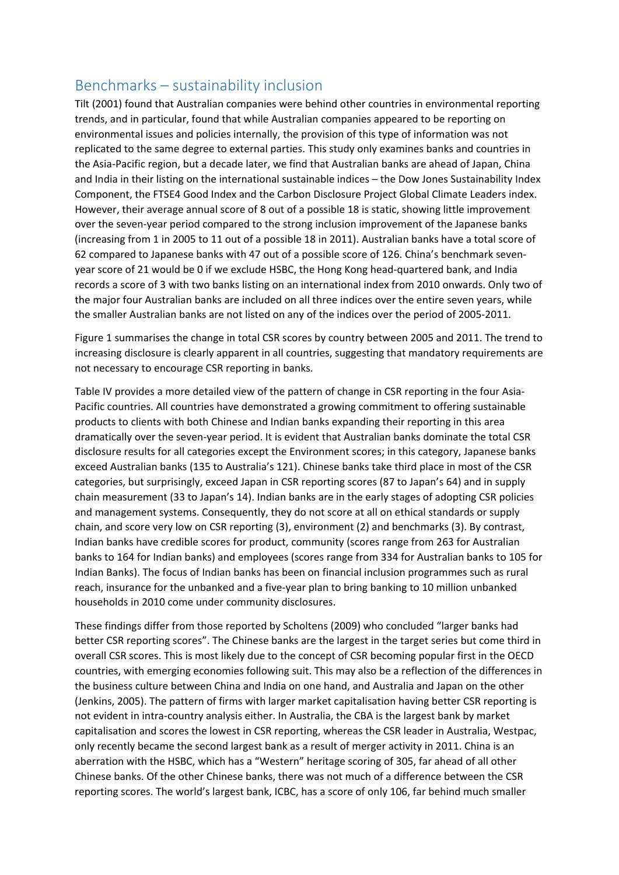## Benchmarks – sustainability inclusion

Tilt (2001) found that Australian companies were behind other countries in environmental reporting trends, and in particular, found that while Australian companies appeared to be reporting on environmental issues and policies internally, the provision of this type of information was not replicated to the same degree to external parties. This study only examines banks and countries in the Asia‐Pacific region, but a decade later, we find that Australian banks are ahead of Japan, China and India in their listing on the international sustainable indices – the Dow Jones Sustainability Index Component, the FTSE4 Good Index and the Carbon Disclosure Project Global Climate Leaders index. However, their average annual score of 8 out of a possible 18 is static, showing little improvement over the seven‐year period compared to the strong inclusion improvement of the Japanese banks (increasing from 1 in 2005 to 11 out of a possible 18 in 2011). Australian banks have a total score of 62 compared to Japanese banks with 47 out of a possible score of 126. China's benchmark seven‐ year score of 21 would be 0 if we exclude HSBC, the Hong Kong head-quartered bank, and India records a score of 3 with two banks listing on an international index from 2010 onwards. Only two of the major four Australian banks are included on all three indices over the entire seven years, while the smaller Australian banks are not listed on any of the indices over the period of 2005‐2011.

Figure 1 summarises the change in total CSR scores by country between 2005 and 2011. The trend to increasing disclosure is clearly apparent in all countries, suggesting that mandatory requirements are not necessary to encourage CSR reporting in banks.

Table IV provides a more detailed view of the pattern of change in CSR reporting in the four Asia‐ Pacific countries. All countries have demonstrated a growing commitment to offering sustainable products to clients with both Chinese and Indian banks expanding their reporting in this area dramatically over the seven‐year period. It is evident that Australian banks dominate the total CSR disclosure results for all categories except the Environment scores; in this category, Japanese banks exceed Australian banks (135 to Australia's 121). Chinese banks take third place in most of the CSR categories, but surprisingly, exceed Japan in CSR reporting scores (87 to Japan's 64) and in supply chain measurement (33 to Japan's 14). Indian banks are in the early stages of adopting CSR policies and management systems. Consequently, they do not score at all on ethical standards or supply chain, and score very low on CSR reporting (3), environment (2) and benchmarks (3). By contrast, Indian banks have credible scores for product, community (scores range from 263 for Australian banks to 164 for Indian banks) and employees (scores range from 334 for Australian banks to 105 for Indian Banks). The focus of Indian banks has been on financial inclusion programmes such as rural reach, insurance for the unbanked and a five‐year plan to bring banking to 10 million unbanked households in 2010 come under community disclosures.

These findings differ from those reported by Scholtens (2009) who concluded "larger banks had better CSR reporting scores". The Chinese banks are the largest in the target series but come third in overall CSR scores. This is most likely due to the concept of CSR becoming popular first in the OECD countries, with emerging economies following suit. This may also be a reflection of the differences in the business culture between China and India on one hand, and Australia and Japan on the other (Jenkins, 2005). The pattern of firms with larger market capitalisation having better CSR reporting is not evident in intra‐country analysis either. In Australia, the CBA is the largest bank by market capitalisation and scores the lowest in CSR reporting, whereas the CSR leader in Australia, Westpac, only recently became the second largest bank as a result of merger activity in 2011. China is an aberration with the HSBC, which has a "Western" heritage scoring of 305, far ahead of all other Chinese banks. Of the other Chinese banks, there was not much of a difference between the CSR reporting scores. The world's largest bank, ICBC, has a score of only 106, far behind much smaller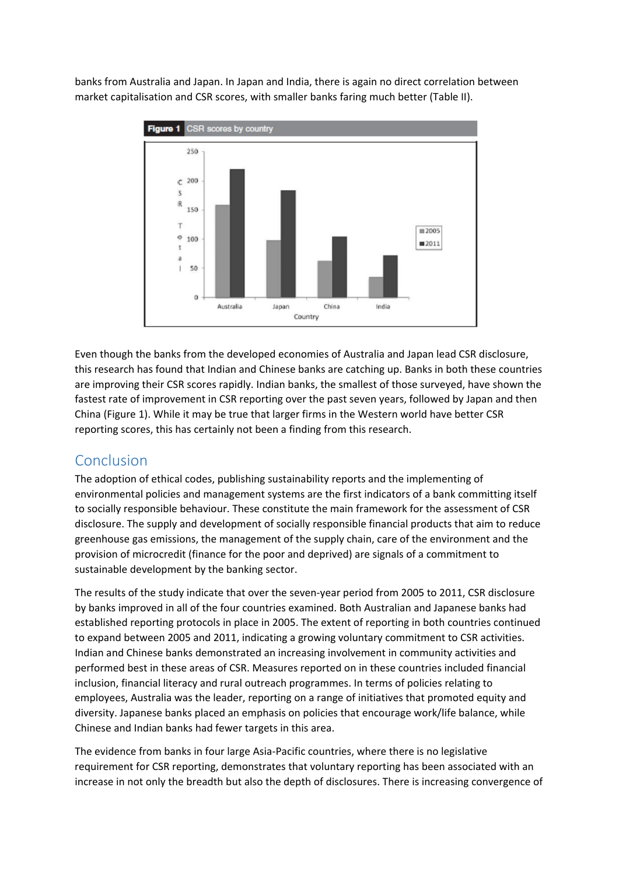banks from Australia and Japan. In Japan and India, there is again no direct correlation between market capitalisation and CSR scores, with smaller banks faring much better (Table II).



Even though the banks from the developed economies of Australia and Japan lead CSR disclosure, this research has found that Indian and Chinese banks are catching up. Banks in both these countries are improving their CSR scores rapidly. Indian banks, the smallest of those surveyed, have shown the fastest rate of improvement in CSR reporting over the past seven years, followed by Japan and then China (Figure 1). While it may be true that larger firms in the Western world have better CSR reporting scores, this has certainly not been a finding from this research.

## Conclusion

The adoption of ethical codes, publishing sustainability reports and the implementing of environmental policies and management systems are the first indicators of a bank committing itself to socially responsible behaviour. These constitute the main framework for the assessment of CSR disclosure. The supply and development of socially responsible financial products that aim to reduce greenhouse gas emissions, the management of the supply chain, care of the environment and the provision of microcredit (finance for the poor and deprived) are signals of a commitment to sustainable development by the banking sector.

The results of the study indicate that over the seven-year period from 2005 to 2011, CSR disclosure by banks improved in all of the four countries examined. Both Australian and Japanese banks had established reporting protocols in place in 2005. The extent of reporting in both countries continued to expand between 2005 and 2011, indicating a growing voluntary commitment to CSR activities. Indian and Chinese banks demonstrated an increasing involvement in community activities and performed best in these areas of CSR. Measures reported on in these countries included financial inclusion, financial literacy and rural outreach programmes. In terms of policies relating to employees, Australia was the leader, reporting on a range of initiatives that promoted equity and diversity. Japanese banks placed an emphasis on policies that encourage work/life balance, while Chinese and Indian banks had fewer targets in this area.

The evidence from banks in four large Asia‐Pacific countries, where there is no legislative requirement for CSR reporting, demonstrates that voluntary reporting has been associated with an increase in not only the breadth but also the depth of disclosures. There is increasing convergence of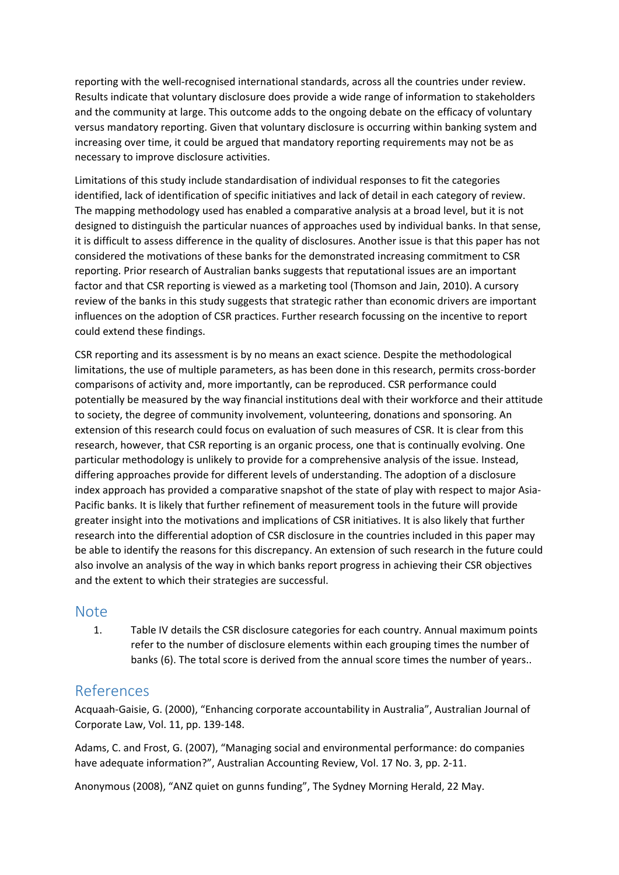reporting with the well-recognised international standards, across all the countries under review. Results indicate that voluntary disclosure does provide a wide range of information to stakeholders and the community at large. This outcome adds to the ongoing debate on the efficacy of voluntary versus mandatory reporting. Given that voluntary disclosure is occurring within banking system and increasing over time, it could be argued that mandatory reporting requirements may not be as necessary to improve disclosure activities.

Limitations of this study include standardisation of individual responses to fit the categories identified, lack of identification of specific initiatives and lack of detail in each category of review. The mapping methodology used has enabled a comparative analysis at a broad level, but it is not designed to distinguish the particular nuances of approaches used by individual banks. In that sense, it is difficult to assess difference in the quality of disclosures. Another issue is that this paper has not considered the motivations of these banks for the demonstrated increasing commitment to CSR reporting. Prior research of Australian banks suggests that reputational issues are an important factor and that CSR reporting is viewed as a marketing tool (Thomson and Jain, 2010). A cursory review of the banks in this study suggests that strategic rather than economic drivers are important influences on the adoption of CSR practices. Further research focussing on the incentive to report could extend these findings.

CSR reporting and its assessment is by no means an exact science. Despite the methodological limitations, the use of multiple parameters, as has been done in this research, permits cross‐border comparisons of activity and, more importantly, can be reproduced. CSR performance could potentially be measured by the way financial institutions deal with their workforce and their attitude to society, the degree of community involvement, volunteering, donations and sponsoring. An extension of this research could focus on evaluation of such measures of CSR. It is clear from this research, however, that CSR reporting is an organic process, one that is continually evolving. One particular methodology is unlikely to provide for a comprehensive analysis of the issue. Instead, differing approaches provide for different levels of understanding. The adoption of a disclosure index approach has provided a comparative snapshot of the state of play with respect to major Asia-Pacific banks. It is likely that further refinement of measurement tools in the future will provide greater insight into the motivations and implications of CSR initiatives. It is also likely that further research into the differential adoption of CSR disclosure in the countries included in this paper may be able to identify the reasons for this discrepancy. An extension of such research in the future could also involve an analysis of the way in which banks report progress in achieving their CSR objectives and the extent to which their strategies are successful.

#### Note

1. Table IV details the CSR disclosure categories for each country. Annual maximum points refer to the number of disclosure elements within each grouping times the number of banks (6). The total score is derived from the annual score times the number of years..

#### References

Acquaah‐Gaisie, G. (2000), "Enhancing corporate accountability in Australia", Australian Journal of Corporate Law, Vol. 11, pp. 139‐148.

Adams, C. and Frost, G. (2007), "Managing social and environmental performance: do companies have adequate information?", Australian Accounting Review, Vol. 17 No. 3, pp. 2‐11.

Anonymous (2008), "ANZ quiet on gunns funding", The Sydney Morning Herald, 22 May.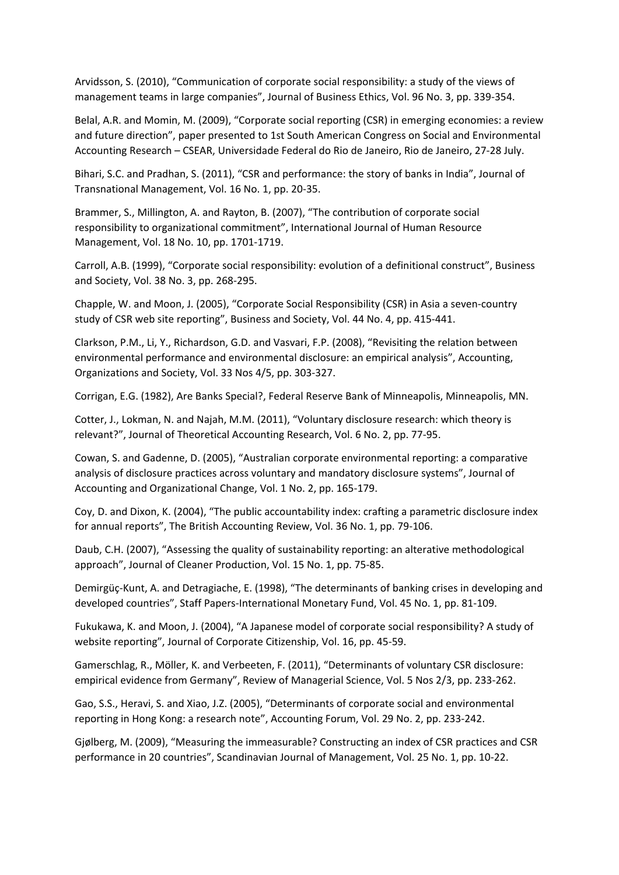Arvidsson, S. (2010), "Communication of corporate social responsibility: a study of the views of management teams in large companies", Journal of Business Ethics, Vol. 96 No. 3, pp. 339‐354.

Belal, A.R. and Momin, M. (2009), "Corporate social reporting (CSR) in emerging economies: a review and future direction", paper presented to 1st South American Congress on Social and Environmental Accounting Research – CSEAR, Universidade Federal do Rio de Janeiro, Rio de Janeiro, 27‐28 July.

Bihari, S.C. and Pradhan, S. (2011), "CSR and performance: the story of banks in India", Journal of Transnational Management, Vol. 16 No. 1, pp. 20‐35.

Brammer, S., Millington, A. and Rayton, B. (2007), "The contribution of corporate social responsibility to organizational commitment", International Journal of Human Resource Management, Vol. 18 No. 10, pp. 1701‐1719.

Carroll, A.B. (1999), "Corporate social responsibility: evolution of a definitional construct", Business and Society, Vol. 38 No. 3, pp. 268‐295.

Chapple, W. and Moon, J. (2005), "Corporate Social Responsibility (CSR) in Asia a seven‐country study of CSR web site reporting", Business and Society, Vol. 44 No. 4, pp. 415‐441.

Clarkson, P.M., Li, Y., Richardson, G.D. and Vasvari, F.P. (2008), "Revisiting the relation between environmental performance and environmental disclosure: an empirical analysis", Accounting, Organizations and Society, Vol. 33 Nos 4/5, pp. 303‐327.

Corrigan, E.G. (1982), Are Banks Special?, Federal Reserve Bank of Minneapolis, Minneapolis, MN.

Cotter, J., Lokman, N. and Najah, M.M. (2011), "Voluntary disclosure research: which theory is relevant?", Journal of Theoretical Accounting Research, Vol. 6 No. 2, pp. 77‐95.

Cowan, S. and Gadenne, D. (2005), "Australian corporate environmental reporting: a comparative analysis of disclosure practices across voluntary and mandatory disclosure systems", Journal of Accounting and Organizational Change, Vol. 1 No. 2, pp. 165‐179.

Coy, D. and Dixon, K. (2004), "The public accountability index: crafting a parametric disclosure index for annual reports", The British Accounting Review, Vol. 36 No. 1, pp. 79‐106.

Daub, C.H. (2007), "Assessing the quality of sustainability reporting: an alterative methodological approach", Journal of Cleaner Production, Vol. 15 No. 1, pp. 75‐85.

Demirgüç‐Kunt, A. and Detragiache, E. (1998), "The determinants of banking crises in developing and developed countries", Staff Papers-International Monetary Fund, Vol. 45 No. 1, pp. 81-109.

Fukukawa, K. and Moon, J. (2004), "A Japanese model of corporate social responsibility? A study of website reporting", Journal of Corporate Citizenship, Vol. 16, pp. 45‐59.

Gamerschlag, R., Möller, K. and Verbeeten, F. (2011), "Determinants of voluntary CSR disclosure: empirical evidence from Germany", Review of Managerial Science, Vol. 5 Nos 2/3, pp. 233‐262.

Gao, S.S., Heravi, S. and Xiao, J.Z. (2005), "Determinants of corporate social and environmental reporting in Hong Kong: a research note", Accounting Forum, Vol. 29 No. 2, pp. 233‐242.

Gjølberg, M. (2009), "Measuring the immeasurable? Constructing an index of CSR practices and CSR performance in 20 countries", Scandinavian Journal of Management, Vol. 25 No. 1, pp. 10‐22.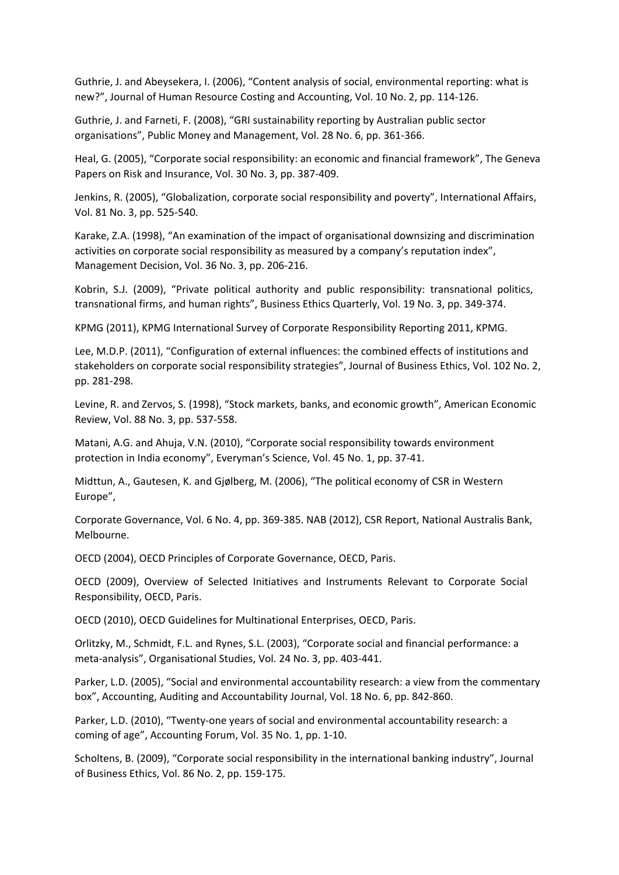Guthrie, J. and Abeysekera, I. (2006), "Content analysis of social, environmental reporting: what is new?", Journal of Human Resource Costing and Accounting, Vol. 10 No. 2, pp. 114‐126.

Guthrie, J. and Farneti, F. (2008), "GRI sustainability reporting by Australian public sector organisations", Public Money and Management, Vol. 28 No. 6, pp. 361‐366.

Heal, G. (2005), "Corporate social responsibility: an economic and financial framework", The Geneva Papers on Risk and Insurance, Vol. 30 No. 3, pp. 387‐409.

Jenkins, R. (2005), "Globalization, corporate social responsibility and poverty", International Affairs, Vol. 81 No. 3, pp. 525‐540.

Karake, Z.A. (1998), "An examination of the impact of organisational downsizing and discrimination activities on corporate social responsibility as measured by a company's reputation index", Management Decision, Vol. 36 No. 3, pp. 206‐216.

Kobrin, S.J. (2009), "Private political authority and public responsibility: transnational politics, transnational firms, and human rights", Business Ethics Quarterly, Vol. 19 No. 3, pp. 349‐374.

KPMG (2011), KPMG International Survey of Corporate Responsibility Reporting 2011, KPMG.

Lee, M.D.P. (2011), "Configuration of external influences: the combined effects of institutions and stakeholders on corporate social responsibility strategies", Journal of Business Ethics, Vol. 102 No. 2, pp. 281‐298.

Levine, R. and Zervos, S. (1998), "Stock markets, banks, and economic growth", American Economic Review, Vol. 88 No. 3, pp. 537‐558.

Matani, A.G. and Ahuja, V.N. (2010), "Corporate social responsibility towards environment protection in India economy", Everyman's Science, Vol. 45 No. 1, pp. 37‐41.

Midttun, A., Gautesen, K. and Gjølberg, M. (2006), "The political economy of CSR in Western Europe",

Corporate Governance, Vol. 6 No. 4, pp. 369‐385. NAB (2012), CSR Report, National Australis Bank, Melbourne.

OECD (2004), OECD Principles of Corporate Governance, OECD, Paris.

OECD (2009), Overview of Selected Initiatives and Instruments Relevant to Corporate Social Responsibility, OECD, Paris.

OECD (2010), OECD Guidelines for Multinational Enterprises, OECD, Paris.

Orlitzky, M., Schmidt, F.L. and Rynes, S.L. (2003), "Corporate social and financial performance: a meta‐analysis", Organisational Studies, Vol. 24 No. 3, pp. 403‐441.

Parker, L.D. (2005), "Social and environmental accountability research: a view from the commentary box", Accounting, Auditing and Accountability Journal, Vol. 18 No. 6, pp. 842‐860.

Parker, L.D. (2010), "Twenty‐one years of social and environmental accountability research: a coming of age", Accounting Forum, Vol. 35 No. 1, pp. 1‐10.

Scholtens, B. (2009), "Corporate social responsibility in the international banking industry", Journal of Business Ethics, Vol. 86 No. 2, pp. 159‐175.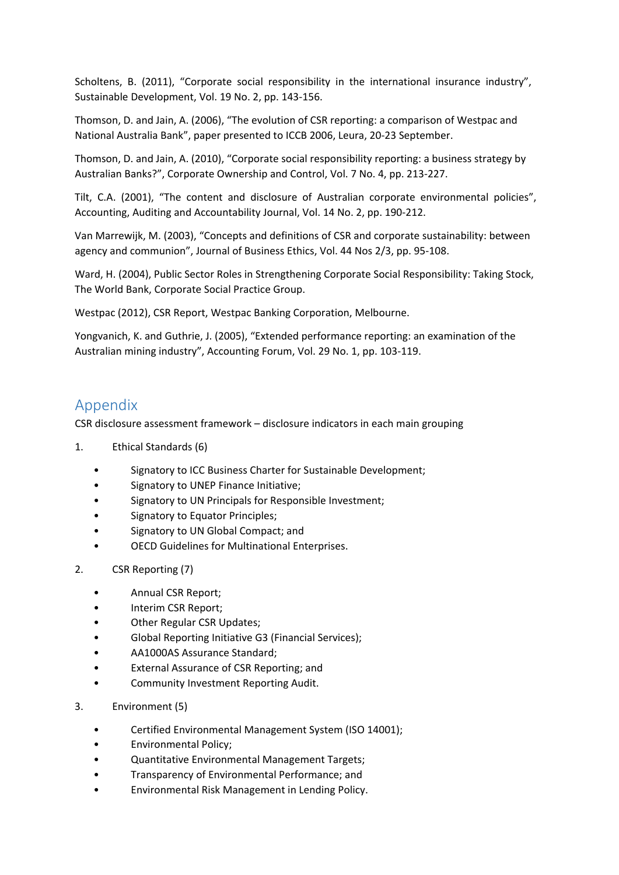Scholtens, B. (2011), "Corporate social responsibility in the international insurance industry", Sustainable Development, Vol. 19 No. 2, pp. 143‐156.

Thomson, D. and Jain, A. (2006), "The evolution of CSR reporting: a comparison of Westpac and National Australia Bank", paper presented to ICCB 2006, Leura, 20‐23 September.

Thomson, D. and Jain, A. (2010), "Corporate social responsibility reporting: a business strategy by Australian Banks?", Corporate Ownership and Control, Vol. 7 No. 4, pp. 213‐227.

Tilt, C.A. (2001), "The content and disclosure of Australian corporate environmental policies", Accounting, Auditing and Accountability Journal, Vol. 14 No. 2, pp. 190‐212.

Van Marrewijk, M. (2003), "Concepts and definitions of CSR and corporate sustainability: between agency and communion", Journal of Business Ethics, Vol. 44 Nos 2/3, pp. 95‐108.

Ward, H. (2004), Public Sector Roles in Strengthening Corporate Social Responsibility: Taking Stock, The World Bank, Corporate Social Practice Group.

Westpac (2012), CSR Report, Westpac Banking Corporation, Melbourne.

Yongvanich, K. and Guthrie, J. (2005), "Extended performance reporting: an examination of the Australian mining industry", Accounting Forum, Vol. 29 No. 1, pp. 103‐119.

#### Appendix

CSR disclosure assessment framework – disclosure indicators in each main grouping

- 1. Ethical Standards (6)
	- Signatory to ICC Business Charter for Sustainable Development;
	- Signatory to UNEP Finance Initiative;
	- Signatory to UN Principals for Responsible Investment;
	- Signatory to Equator Principles;
	- Signatory to UN Global Compact; and
	- OECD Guidelines for Multinational Enterprises.
- 2. CSR Reporting (7)
	- Annual CSR Report;
	- Interim CSR Report;
	- Other Regular CSR Updates;
	- Global Reporting Initiative G3 (Financial Services);
	- AA1000AS Assurance Standard;
	- External Assurance of CSR Reporting; and
	- Community Investment Reporting Audit.
- 3. Environment (5)
	- Certified Environmental Management System (ISO 14001);
	- Environmental Policy;
	- Quantitative Environmental Management Targets;
	- Transparency of Environmental Performance; and
	- Environmental Risk Management in Lending Policy.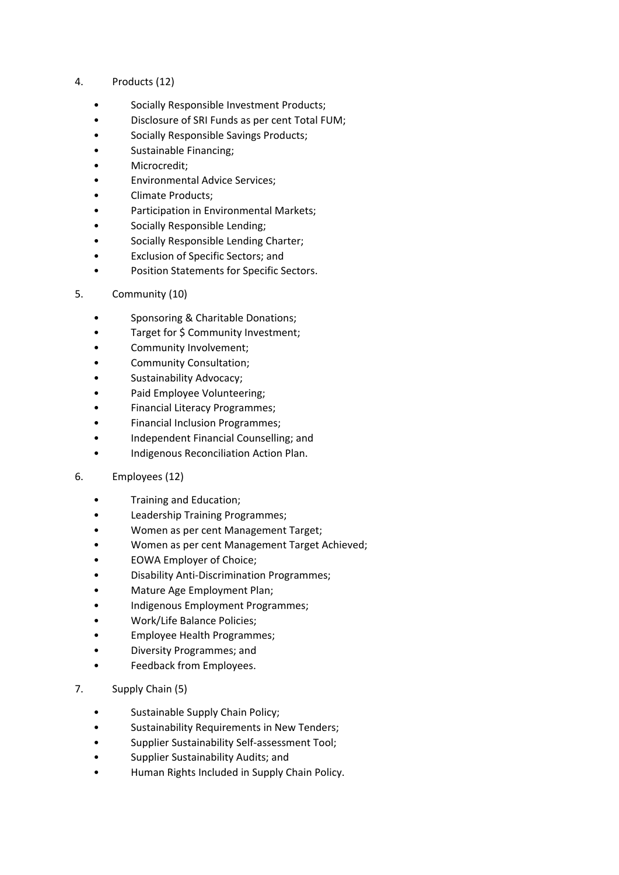#### 4. Products (12)

- Socially Responsible Investment Products;
- Disclosure of SRI Funds as per cent Total FUM;
- Socially Responsible Savings Products;
- Sustainable Financing;
- Microcredit;
- Environmental Advice Services;
- Climate Products;
- Participation in Environmental Markets;
- Socially Responsible Lending;
- Socially Responsible Lending Charter;
- Exclusion of Specific Sectors; and
- Position Statements for Specific Sectors.

#### 5. Community (10)

- Sponsoring & Charitable Donations;
- Target for \$ Community Investment;
- Community Involvement;
- Community Consultation;
- Sustainability Advocacy;
- Paid Employee Volunteering;
- Financial Literacy Programmes;
- Financial Inclusion Programmes;
- Independent Financial Counselling; and
- Indigenous Reconciliation Action Plan.

#### 6. Employees (12)

- Training and Education;
- Leadership Training Programmes;
- Women as per cent Management Target;
- Women as per cent Management Target Achieved;
- EOWA Employer of Choice;
- Disability Anti‐Discrimination Programmes;
- Mature Age Employment Plan;
- Indigenous Employment Programmes;
- Work/Life Balance Policies;
- Employee Health Programmes;
- Diversity Programmes; and
- Feedback from Employees.

#### 7. Supply Chain (5)

- Sustainable Supply Chain Policy;
- Sustainability Requirements in New Tenders;
- Supplier Sustainability Self‐assessment Tool;
- Supplier Sustainability Audits; and
- Human Rights Included in Supply Chain Policy.